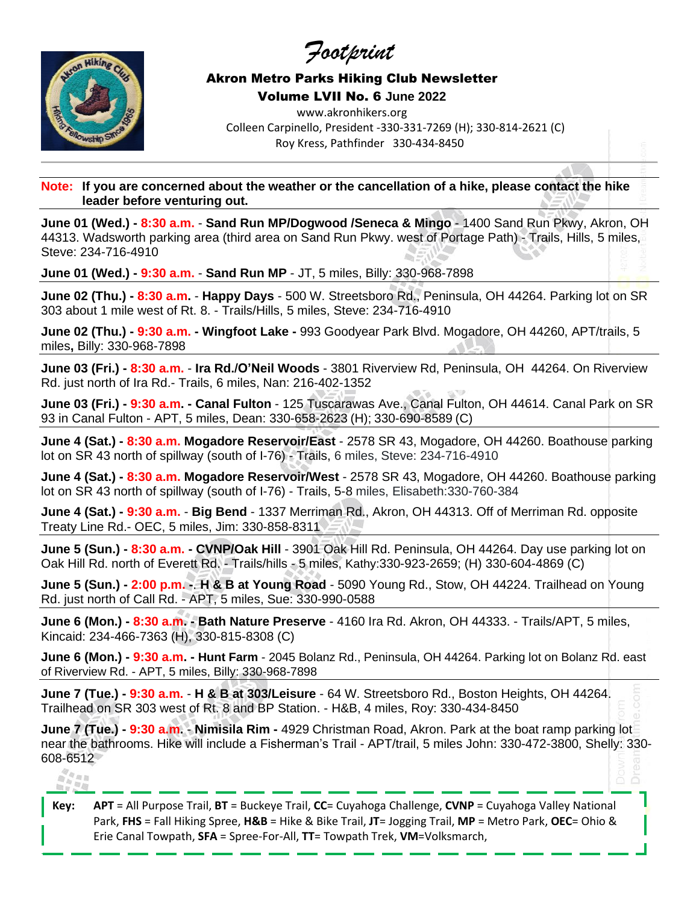*Footprint*



## Akron Metro Parks Hiking Club Newsletter Volume LVII No. 6 **June 2022**

www.akronhikers.org Colleen Carpinello, President -330-331-7269 (H); 330-814-2621 (C) Roy Kress, Pathfinder 330-434-8450

**Note: If you are concerned about the weather or the cancellation of a hike, please contact the hike leader before venturing out.**

**June 01 (Wed.) - 8:30 a.m.** - **Sand Run MP/Dogwood /Seneca & Mingo** - 1400 Sand Run Pkwy, Akron, OH 44313. Wadsworth parking area (third area on Sand Run Pkwy. west of Portage Path) - Trails, Hills, 5 miles, Steve: 234-716-4910

**June 01 (Wed.) - 9:30 a.m.** - **Sand Run MP** - JT, 5 miles, Billy: 330-968-7898

**June 02 (Thu.) - 8:30 a.m.** - **Happy Days** - 500 W. Streetsboro Rd., Peninsula, OH 44264. Parking lot on SR 303 about 1 mile west of Rt. 8. - Trails/Hills, 5 miles, Steve: 234-716-4910

**June 02 (Thu.) - 9:30 a.m. - Wingfoot Lake -** 993 Goodyear Park Blvd. Mogadore, OH 44260, APT/trails, 5 miles**,** Billy: 330-968-7898

**June 03 (Fri.) - 8:30 a.m.** - **Ira Rd./O'Neil Woods** - 3801 Riverview Rd, Peninsula, OH 44264. On Riverview Rd. just north of Ira Rd.- Trails, 6 miles, Nan: 216-402-1352

**June 03 (Fri.) - 9:30 a.m. - Canal Fulton** - 125 Tuscarawas Ave., Canal Fulton, OH 44614. Canal Park on SR 93 in Canal Fulton - APT, 5 miles, Dean: 330-658-2623 (H); 330-690-8589 (C)

**June 4 (Sat.) - 8:30 a.m. Mogadore Reservoir/East** - 2578 SR 43, Mogadore, OH 44260. Boathouse parking lot on SR 43 north of spillway (south of I-76) - Trails, 6 miles, Steve: 234-716-4910

**June 4 (Sat.) - 8:30 a.m. Mogadore Reservoir/West** - 2578 SR 43, Mogadore, OH 44260. Boathouse parking lot on SR 43 north of spillway (south of I-76) - Trails, 5-8 miles, Elisabeth:330-760-384

**June 4 (Sat.) - 9:30 a.m.** - **Big Bend** - 1337 Merriman Rd., Akron, OH 44313. Off of Merriman Rd. opposite Treaty Line Rd.- OEC, 5 miles, Jim: 330-858-8311

**June 5 (Sun.) - 8:30 a.m. - CVNP/Oak Hill** - 3901 Oak Hill Rd. Peninsula, OH 44264. Day use parking lot on Oak Hill Rd. north of Everett Rd. - Trails/hills - 5 miles, Kathy:330-923-2659; (H) 330-604-4869 (C)

**June 5 (Sun.) - 2:00 p.m. -**. **H & B at Young Road** - 5090 Young Rd., Stow, OH 44224. Trailhead on Young Rd. just north of Call Rd. - APT, 5 miles, Sue: 330-990-0588

**June 6 (Mon.) - 8:30 a.m. - Bath Nature Preserve** - 4160 Ira Rd. Akron, OH 44333. - Trails/APT, 5 miles, Kincaid: 234-466-7363 (H), 330-815-8308 (C)

**June 6 (Mon.) - 9:30 a.m. - Hunt Farm** - 2045 Bolanz Rd., Peninsula, OH 44264. Parking lot on Bolanz Rd. east of Riverview Rd. - APT, 5 miles, Billy: 330-968-7898

**June 7 (Tue.) - 9:30 a.m.** - **H & B at 303/Leisure** - 64 W. Streetsboro Rd., Boston Heights, OH 44264. Trailhead on SR 303 west of Rt. 8 and BP Station. - H&B, 4 miles, Roy: 330-434-8450

**June 7 (Tue.) - 9:30 a.m.** - **Nimisila Rim -** 4929 Christman Road, Akron. Park at the boat ramp parking lot near the bathrooms. Hike will include a Fisherman's Trail - APT/trail, 5 miles John: 330-472-3800, Shelly: 330- 608-6512

## $\frac{N}{N}\frac{N}{N}$  in it

**Key: APT** = All Purpose Trail, **BT** = Buckeye Trail, **CC**= Cuyahoga Challenge, **CVNP** = Cuyahoga Valley National Park, **FHS** = Fall Hiking Spree, **H&B** = Hike & Bike Trail, **JT**= Jogging Trail, **MP** = Metro Park, **OEC**= Ohio & Erie Canal Towpath, **SFA** = Spree-For-All, **TT**= Towpath Trek, **VM**=Volksmarch,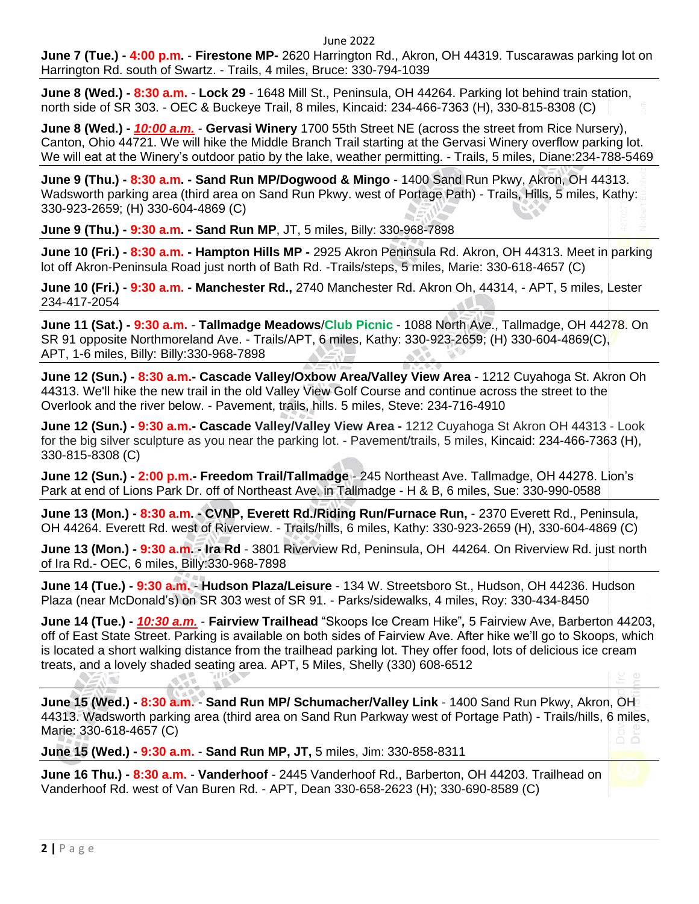June 2022

**June 7 (Tue.) - 4:00 p.m.** - **Firestone MP-** 2620 Harrington Rd., Akron, OH 44319. Tuscarawas parking lot on Harrington Rd. south of Swartz. - Trails, 4 miles, Bruce: 330-794-1039

**June 8 (Wed.) - 8:30 a.m.** - **Lock 29** - 1648 Mill St., Peninsula, OH 44264. Parking lot behind train station, north side of SR 303. - OEC & Buckeye Trail, 8 miles, Kincaid: 234-466-7363 (H), 330-815-8308 (C)

**June 8 (Wed.) -** *10:00 a.m.* - **Gervasi Winery** 1700 55th Street NE (across the street from Rice Nursery), Canton, Ohio 44721. We will hike the Middle Branch Trail starting at the Gervasi Winery overflow parking lot. We will eat at the Winery's outdoor patio by the lake, weather permitting. - Trails, 5 miles, Diane:234-788-5469

**June 9 (Thu.) - 8:30 a.m. - Sand Run MP/Dogwood & Mingo** - 1400 Sand Run Pkwy, Akron, OH 44313. Wadsworth parking area (third area on Sand Run Pkwy. west of Portage Path) - Trails, Hills, 5 miles, Kathy: 330-923-2659; (H) 330-604-4869 (C)

**June 9 (Thu.) - 9:30 a.m. - Sand Run MP**, JT, 5 miles, Billy: 330-968-7898

**June 10 (Fri.) - 8:30 a.m. - Hampton Hills MP -** 2925 Akron Peninsula Rd. Akron, OH 44313. Meet in parking lot off Akron-Peninsula Road just north of Bath Rd. -Trails/steps, 5 miles, Marie: 330-618-4657 (C)

**June 10 (Fri.) - 9:30 a.m. - Manchester Rd.,** 2740 Manchester Rd. Akron Oh, 44314, - APT, 5 miles, Lester 234-417-2054

**June 11 (Sat.) - 9:30 a.m.** *-* **Tallmadge Meadows**/**Club Picnic** - 1088 North Ave., Tallmadge, OH 44278. On SR 91 opposite Northmoreland Ave. - Trails/APT, 6 miles, Kathy: 330-923-2659; (H) 330-604-4869(C), APT, 1-6 miles, Billy: Billy:330-968-7898

**June 12 (Sun.) - 8:30 a.m.- Cascade Valley/Oxbow Area/Valley View Area** - 1212 Cuyahoga St. Akron Oh 44313. We'll hike the new trail in the old Valley View Golf Course and continue across the street to the Overlook and the river below. - Pavement, trails, hills. 5 miles, Steve: 234-716-4910

**June 12 (Sun.) - 9:30 a.m.- Cascade Valley/Valley View Area -** 1212 Cuyahoga St Akron OH 44313 - Look for the big silver sculpture as you near the parking lot. - Pavement/trails, 5 miles, Kincaid: 234-466-7363 (H), 330-815-8308 (C)

**June 12 (Sun.) - 2:00 p.m.- Freedom Trail/Tallmadge** - 245 Northeast Ave. Tallmadge, OH 44278. Lion's Park at end of Lions Park Dr. off of Northeast Ave. in Tallmadge - H & B, 6 miles, Sue: 330-990-0588

**June 13 (Mon.) - 8:30 a.m. - CVNP, Everett Rd./Riding Run/Furnace Run,** - 2370 Everett Rd., Peninsula, OH 44264. Everett Rd. west of Riverview. - Trails/hills, 6 miles, Kathy: 330-923-2659 (H), 330-604-4869 (C)

**June 13 (Mon.) - 9:30 a.m. - Ira Rd** - 3801 Riverview Rd, Peninsula, OH 44264. On Riverview Rd. just north of Ira Rd.- OEC, 6 miles, Billy:330-968-7898

**June 14 (Tue.) - 9:30 a.m.** - **Hudson Plaza/Leisure** - 134 W. Streetsboro St., Hudson, OH 44236. Hudson Plaza (near McDonald's) on SR 303 west of SR 91. - Parks/sidewalks, 4 miles, Roy: 330-434-8450

**June 14 (Tue.) -** *10:30 a.m.* - **Fairview Trailhead** "Skoops Ice Cream Hike"*,* 5 Fairview Ave, Barberton 44203, off of East State Street. Parking is available on both sides of Fairview Ave. After hike we'll go to Skoops, which is located a short walking distance from the trailhead parking lot. They offer food, lots of delicious ice cream treats, and a lovely shaded seating area. APT, 5 Miles, Shelly (330) 608-6512

**June 15 (Wed.) - 8:30 a.m.** - **Sand Run MP/ Schumacher/Valley Link** - 1400 Sand Run Pkwy, Akron, OH 44313. Wadsworth parking area (third area on Sand Run Parkway west of Portage Path) - Trails/hills, 6 miles, Marie: 330-618-4657 (C)

**June 15 (Wed.) - 9:30 a.m.** - **Sand Run MP, JT,** 5 miles, Jim: 330-858-8311

**June 16 Thu.) - 8:30 a.m.** - **Vanderhoof** - 2445 Vanderhoof Rd., Barberton, OH 44203. Trailhead on Vanderhoof Rd. west of Van Buren Rd. - APT, Dean 330-658-2623 (H); 330-690-8589 (C)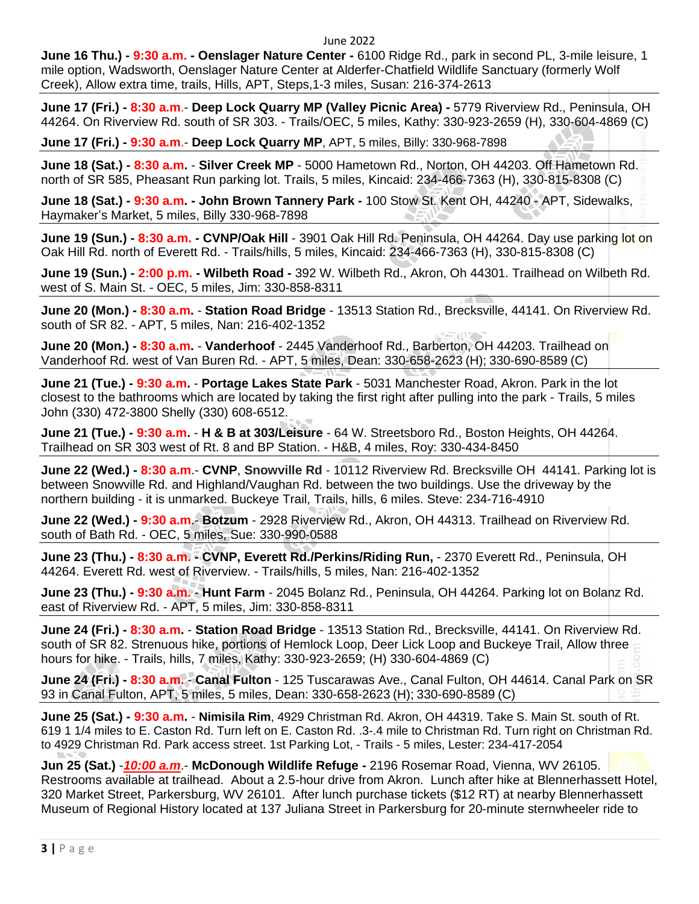## June 2022

**June 16 Thu.) - 9:30 a.m. - Oenslager Nature Center -** 6100 Ridge Rd., park in second PL, 3-mile leisure, 1 mile option, Wadsworth, Oenslager Nature Center at Alderfer-Chatfield Wildlife Sanctuary (formerly Wolf Creek), Allow extra time, trails, Hills, APT, Steps,1-3 miles, Susan: 216-374-2613

**June 17 (Fri.) - 8:30 a.m**.- **Deep Lock Quarry MP (Valley Picnic Area) -** 5779 Riverview Rd., Peninsula, OH 44264. On Riverview Rd. south of SR 303. - Trails/OEC, 5 miles, Kathy: 330-923-2659 (H), 330-604-4869 (C)

**June 17 (Fri.) - 9:30 a.m**.- **Deep Lock Quarry MP**, APT, 5 miles, Billy: 330-968-7898

**June 18 (Sat.) - 8:30 a.m.** - **Silver Creek MP** - 5000 Hametown Rd., Norton, OH 44203. Off Hametown Rd. north of SR 585, Pheasant Run parking lot. Trails, 5 miles, Kincaid: 234-466-7363 (H), 330-815-8308 (C)

**June 18 (Sat.) - 9:30 a.m. - John Brown Tannery Park -** 100 Stow St. Kent OH, 44240 - APT, Sidewalks, Haymaker's Market, 5 miles, Billy 330-968-7898

**June 19 (Sun.) - 8:30 a.m. - CVNP/Oak Hill** - 3901 Oak Hill Rd. Peninsula, OH 44264. Day use parking lot on Oak Hill Rd. north of Everett Rd. - Trails/hills, 5 miles, Kincaid: 234-466-7363 (H), 330-815-8308 (C)

**June 19 (Sun.) - 2:00 p.m. - Wilbeth Road -** 392 W. Wilbeth Rd., Akron, Oh 44301. Trailhead on Wilbeth Rd. west of S. Main St. - OEC, 5 miles, Jim: 330-858-8311

**June 20 (Mon.) - 8:30 a.m.** - **Station Road Bridge** - 13513 Station Rd., Brecksville, 44141. On Riverview Rd. south of SR 82. - APT, 5 miles, Nan: 216-402-1352

**June 20 (Mon.) - 8:30 a.m.** - **Vanderhoof** - 2445 Vanderhoof Rd., Barberton, OH 44203. Trailhead on Vanderhoof Rd. west of Van Buren Rd. - APT, 5 miles, Dean: 330-658-2623 (H); 330-690-8589 (C)

**June 21 (Tue.) - 9:30 a.m.** - **Portage Lakes State Park** - 5031 Manchester Road, Akron. Park in the lot closest to the bathrooms which are located by taking the first right after pulling into the park - Trails, 5 miles John (330) 472-3800 Shelly (330) 608-6512.

**June 21 (Tue.) - 9:30 a.m.** - **H & B at 303/Leisure** - 64 W. Streetsboro Rd., Boston Heights, OH 44264. Trailhead on SR 303 west of Rt. 8 and BP Station. - H&B, 4 miles, Roy: 330-434-8450

**June 22 (Wed.) - 8:30 a.m**.- **CVNP**, **Snowville Rd** - 10112 Riverview Rd. Brecksville OH 44141. Parking lot is between Snowville Rd. and Highland/Vaughan Rd. between the two buildings. Use the driveway by the northern building - it is unmarked. Buckeye Trail, Trails, hills, 6 miles. Steve: 234-716-4910

**June 22 (Wed.) - 9:30 a.m**.- **Botzum** - 2928 Riverview Rd., Akron, OH 44313. Trailhead on Riverview Rd. south of Bath Rd. - OEC, 5 miles, Sue: 330-990-0588

**June 23 (Thu.) - 8:30 a.m. - CVNP, Everett Rd./Perkins/Riding Run,** - 2370 Everett Rd., Peninsula, OH 44264. Everett Rd. west of Riverview. - Trails/hills, 5 miles, Nan: 216-402-1352

**June 23 (Thu.) - 9:30 a.m.** - **Hunt Farm** - 2045 Bolanz Rd., Peninsula, OH 44264. Parking lot on Bolanz Rd. east of Riverview Rd. - APT, 5 miles, Jim: 330-858-8311

**June 24 (Fri.) - 8:30 a.m.** - **Station Road Bridge** - 13513 Station Rd., Brecksville, 44141. On Riverview Rd. south of SR 82. Strenuous hike, portions of Hemlock Loop, Deer Lick Loop and Buckeye Trail, Allow three hours for hike. - Trails, hills, 7 miles, Kathy: 330-923-2659; (H) 330-604-4869 (C)

**June 24 (Fri.) - 8:30 a.m.** - **Canal Fulton** - 125 Tuscarawas Ave., Canal Fulton, OH 44614. Canal Park on SR 93 in Canal Fulton, APT, 5 miles, 5 miles, Dean: 330-658-2623 (H); 330-690-8589 (C)

**June 25 (Sat.) - 9:30 a.m.** - **Nimisila Rim**, 4929 Christman Rd. Akron, OH 44319. Take S. Main St. south of Rt. 619 1 1/4 miles to E. Caston Rd. Turn left on E. Caston Rd. .3-.4 mile to Christman Rd. Turn right on Christman Rd. to 4929 Christman Rd. Park access street. 1st Parking Lot, - Trails - 5 miles, Lester: 234-417-2054

**Jun 25 (Sat.)** -*10:00 a.m*.- **McDonough Wildlife Refuge -** 2196 Rosemar Road, Vienna, WV 26105. Restrooms available at trailhead. About a 2.5-hour drive from Akron. Lunch after hike at Blennerhassett Hotel, 320 Market Street, Parkersburg, WV 26101. After lunch purchase tickets (\$12 RT) at nearby Blennerhassett Museum of Regional History located at 137 Juliana Street in Parkersburg for 20-minute sternwheeler ride to